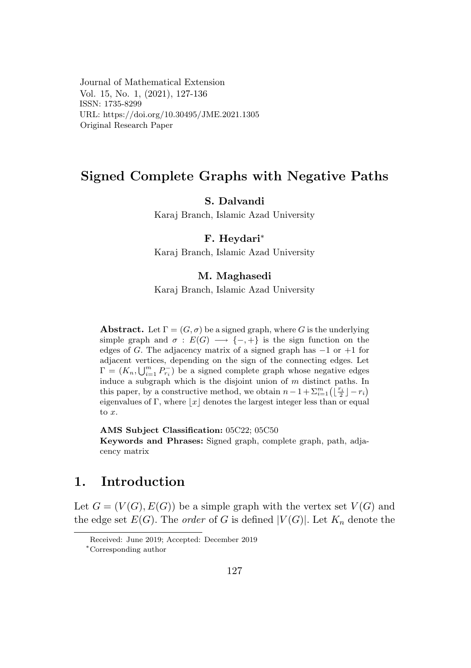Journal of Mathematical Extension Vol. 15, No. 1, (2021), 127-136  $ISSN: 1735-8299$ URL: https://doi.org/10.30495/JME.2021.1305 Original Research Paper

## Signed Complete Graphs with Negative Paths

# S. Dalvandi

Karaj Branch, Islamic Azad University

## F. Heydari<sup>\*</sup>

Karaj Branch, Islamic Azad University

## M. Maghasedi

Karaj Branch, Islamic Azad University

**Abstract.** Let  $\Gamma = (G, \sigma)$  be a signed graph, where *G* is the underlying simple graph and  $\sigma$  :  $E(G) \longrightarrow \{-, +\}$  is the sign function on the edges of *G*. The adjacency matrix of a signed graph has −1 or +1 for adjacent vertices, depending on the sign of the connecting edges. Let adjacent vertices, depending on the sign of the connecting edges. Let  $\Gamma = (K_n, \bigcup_{i=1}^m P_{\tau_i}^{-})$  be a signed complete graph whose negative edges *i* −  $(X_n, \bigcup_{i=1}^n r_i)$  be a signed complete graph whose negative edges induce a subgraph which is the disjoint union of *m* distinct paths. In this paper, by a constructive method, we obtain  $n-1+\sum_{i=1}^m(\lfloor \frac{r_i}{2} \rfloor - r_i)$ eigenvalues of Γ, where  $\lfloor x \rfloor$  denotes the largest integer less than or equal edges of Γ, where  $\lfloor x \rfloor$  denotes the largest integer less than or equal to *x*. meter a subgraph which is the disjoint union of *m* distinct paths. In eigenvalues of **1**, where [*x*] deflores the largest integer less than of equal to x.

AMS Subject Classification: 05C22; 05C50

Keywords and Phrases: Signed graph, complete graph, path, adjacency matrix

# 1. Introduction

Let  $G = (V(G), E(G))$  be a simple graph with the vertex set  $V(G)$  and the edge set  $E(G)$ . The *order* of *G* is defined  $|V(G)|$ . Let  $K_n$  denote the

Received: June 2019; Accepted: December 2019<br>\*Corresponding author Let *G* = (*V* (*G*)*, E*(*G*)) be a simple graph with the vertex set *V* (*G*) and

*<sup>∗</sup>*Corresponding author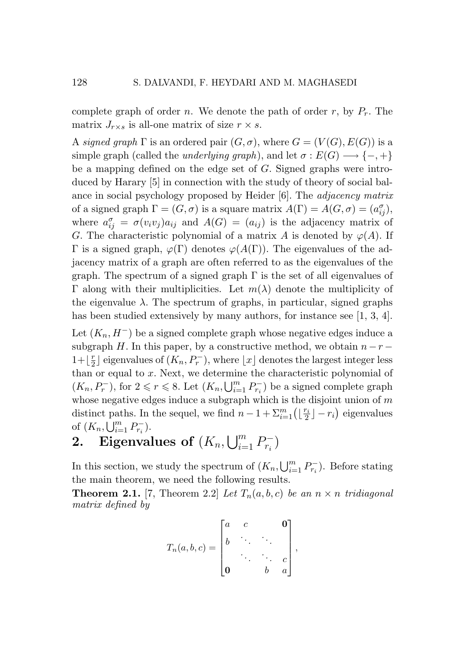complete graph of order *n*. We denote the path of order *r*, by  $P_r$ . The matrix  $J_{r \times s}$  is all-one matrix of size  $r \times s$ .

A *signed graph*  $\Gamma$  is an ordered pair  $(G, \sigma)$ , where  $G = (V(G), E(G))$  is a simple graph (called the *underlying graph*), and let  $\sigma : E(G) \longrightarrow \{-, +\}$ be a mapping defined on the edge set of *G*. Signed graphs were introduced by Harary [5] in connection with the study of theory of social balance in social psychology proposed by Heider [6]. The *adjacency matrix* of a signed graph  $\Gamma = (G, \sigma)$  is a square matrix  $A(\Gamma) = A(G, \sigma) = (a_{ij}^{\sigma}),$ where  $a_{ij}^{\sigma} = \sigma(v_i v_j) a_{ij}$  and  $A(G) = (a_{ij})$  is the adjacency matrix of *G*. The characteristic polynomial of a matrix *A* is denoted by  $\varphi(A)$ . If Γ is a signed graph, *ϕ*(Γ) denotes *ϕ*(*A*(Γ)). The eigenvalues of the adjacency matrix of a graph are often referred to as the eigenvalues of the graph. The spectrum of a signed graph  $\Gamma$  is the set of all eigenvalues of Γ along with their multiplicities. Let *m*(*λ*) denote the multiplicity of the eigenvalue  $\lambda$ . The spectrum of graphs, in particular, signed graphs has been studied extensively by many authors, for instance see [1, 3, 4].

Let  $(K_n, H^-)$  be a signed complete graph whose negative edges induce a subgraph *H*. In this paper, by a constructive method, we obtain  $n-r-$ 1+ $\lfloor \frac{r}{2} \rfloor$  eigenvalues of  $(K_n, P_r^-)$ , where  $\lfloor x \rfloor$  denotes the largest integer less than or equal to *x*. Next, we determine the characteristic polynomial of  $(K_n, P_r^-)$ , for  $2 \le r \le 8$ . Let  $(K_n, \bigcup_{i=1}^m P_{r_i}^-)$  be a signed complete graph whose negative edges induce a subgraph which is the disjoint union of *m* distinct paths. In the sequel, we find  $n-1+\sum_{i=1}^{m}(\lfloor \frac{r_i}{2} \rfloor - r_i)$  eigenvalues of  $(K_n, \bigcup_{i=1}^m P_{r_i}^-).$ 

2. Eigenvalues of  $(K_n, \bigcup_{i=1}^m P_{r_i}^-)$ 

In this section, we study the spectrum of  $(K_n, \bigcup_{i=1}^m P_{r_i}^-)$ . Before stating the main theorem, we need the following results.

**Theorem 2.1.** [7, Theorem 2.2] *Let*  $T_n(a, b, c)$  *be an*  $n \times n$  *tridiagonal matrix defined by*

$$
T_n(a,b,c) = \begin{bmatrix} a & c & \mathbf{0} \\ b & \ddots & \ddots & \vdots \\ \mathbf{0} & & b & a \end{bmatrix},
$$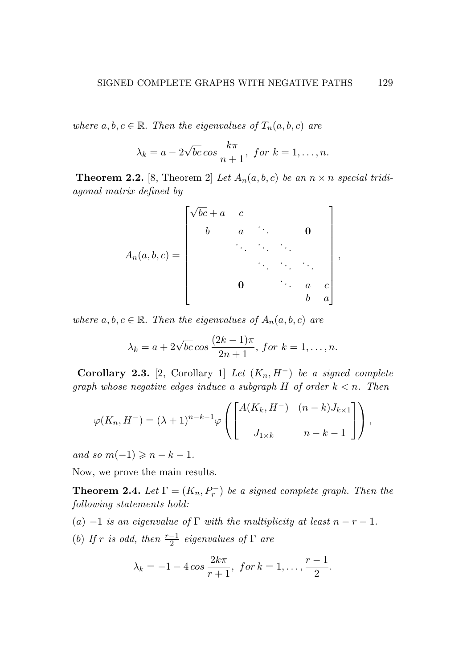*where*  $a, b, c \in \mathbb{R}$ *. Then the eigenvalues of*  $T_n(a, b, c)$  *are* 

$$
\lambda_k = a - 2\sqrt{bc} \cos \frac{k\pi}{n+1}, \text{ for } k = 1, \dots, n.
$$

**Theorem 2.2.** [8, Theorem 2] Let  $A_n(a, b, c)$  be an  $n \times n$  special tridi*agonal matrix defined by*

$$
A_n(a,b,c) = \begin{bmatrix} \sqrt{bc} + a & c & & & \\ & b & a & \cdots & \mathbf{0} \\ & & & \ddots & \ddots & \ddots \\ & & & & \ddots & \ddots & \ddots \\ & & & & & & \ddots & \ddots \\ & & & & & & & & 0 \\ & & & & & & & a & c \\ & & & & & & & b & a \end{bmatrix},
$$

*where*  $a, b, c \in \mathbb{R}$ *. Then the eigenvalues of*  $A_n(a, b, c)$  *are* 

$$
\lambda_k = a + 2\sqrt{bc} \cos \frac{(2k-1)\pi}{2n+1}, \text{ for } k = 1, \dots, n.
$$

Corollary 2.3. [2, Corollary 1] *Let*  $(K_n, H^-)$  *be a signed complete graph whose negative edges induce a subgraph H of order k < n. Then*

$$
\varphi(K_n, H^-) = (\lambda + 1)^{n-k-1} \varphi\left(\begin{bmatrix} A(K_k, H^-) & (n-k)J_{k\times 1} \\ J_{1\times k} & n-k-1 \end{bmatrix}\right),
$$

 $and so m(-1) \geq n - k - 1.$ 

Now, we prove the main results.

**Theorem 2.4.** *Let*  $\Gamma = (K_n, P_r^-)$  *be a signed complete graph. Then the following statements hold:*

- (*a*)  $-1$  *is an eigenvalue of*  $\Gamma$  *with the multiplicity at least*  $n r 1$ *.*
- (*b*) *If*  $r$  *is odd, then*  $\frac{r-1}{2}$  *eigenvalues of*  $\Gamma$  *are*

$$
\lambda_k = -1 - 4\cos\frac{2k\pi}{r+1}, \text{ for } k = 1, \ldots, \frac{r-1}{2}.
$$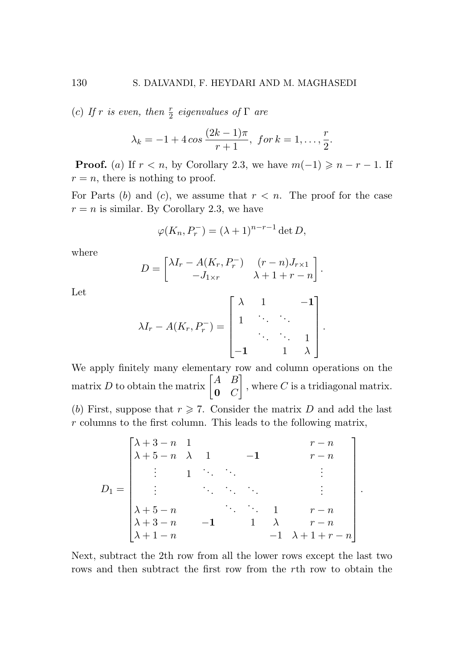(*c*) *If*  $r$  *is even, then*  $\frac{r}{2}$  *eigenvalues of*  $\Gamma$  *are* 

$$
\lambda_k = -1 + 4 \cos \frac{(2k-1)\pi}{r+1}, \text{ for } k = 1, \ldots, \frac{r}{2}.
$$

**Proof.** (*a*) If  $r < n$ , by Corollary 2.3, we have  $m(-1) \geq n-r-1$ . If  $r = n$ , there is nothing to proof.

For Parts  $(b)$  and  $(c)$ , we assume that  $r < n$ . The proof for the case  $r = n$  is similar. By Corollary 2.3, we have

$$
\varphi(K_n, P_r^-) = (\lambda + 1)^{n-r-1} \det D,
$$

where

$$
D = \begin{bmatrix} \lambda I_r - A(K_r, P_r^-) & (r - n)J_{r \times 1} \\ -J_{1 \times r} & \lambda + 1 + r - n \end{bmatrix}.
$$

Let

$$
\lambda I_r - A(K_r, P_r^-) = \begin{bmatrix} \lambda & 1 & & -1 \\ 1 & \ddots & \ddots & \\ & \ddots & \ddots & 1 \\ -1 & & 1 & \lambda \end{bmatrix}
$$

*.*

*.*

We apply finitely many elementary row and column operations on the matrix *D* to obtain the matrix  $\begin{bmatrix} A & B \\ 0 & C \end{bmatrix}$ 0 *C* 1 *,* where *C* is a tridiagonal matrix. (*b*) First, suppose that  $r \geq 7$ . Consider the matrix *D* and add the last *r* columns to the first column. This leads to the following matrix,

$$
D_{1} = \begin{bmatrix} \lambda + 3 - n & 1 & & & & & r - n \\ \lambda + 5 - n & \lambda & 1 & & -1 & & & r - n \\ \vdots & & 1 & \ddots & & & & \vdots \\ \lambda + 5 - n & & & & \ddots & & \vdots \\ \lambda + 3 - n & & -1 & & 1 & \lambda & & r - n \\ \lambda + 1 - n & & & & -1 & \lambda + 1 + r - n \end{bmatrix}
$$

Next, subtract the 2th row from all the lower rows except the last two rows and then subtract the first row from the *r*th row to obtain the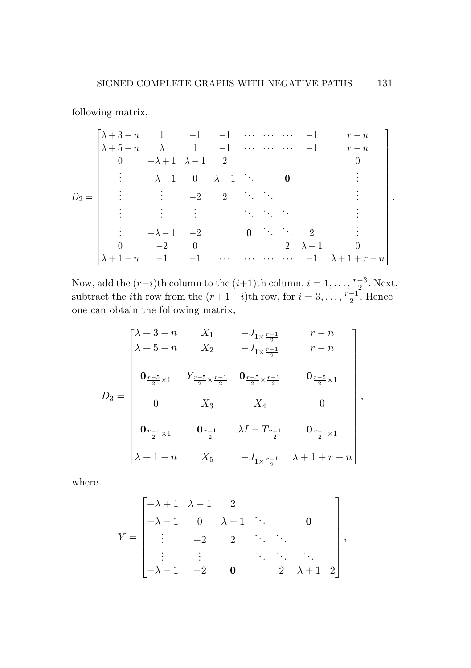following matrix, following matrix,

*D*<sup>2</sup> = *λ* + 3 *− n* 1 *−*1 *−*1 *· · · · · · · · · −*1 *r − n λ* + 5 *− n λ* 1 *−*1 *· · · · · · · · · −*1 *r − n* 0 *−λ* + 1 *λ −* 1 2 0 . *<sup>−</sup><sup>λ</sup> <sup>−</sup>* 1 0 *<sup>λ</sup>* + 1 ... <sup>0</sup> . . . . *<sup>−</sup>*2 2 ... ... . . . . . . . ... ... ... . . *<sup>−</sup><sup>λ</sup> <sup>−</sup>* <sup>1</sup> *<sup>−</sup>*<sup>2</sup> <sup>0</sup> ... ... <sup>2</sup> . 0 *−*2 0 2 *λ* + 1 0 *λ* + 1 *− n −*1 *−*1 *· · · · · · · · · · · · −*1 *λ* + 1 + *r − n D*<sup>2</sup> = *λ* + 3 *− n* 1 *−*1 *−*1 *· · · · · · · · · −*1 *r − n λ* + 5 *− n λ* 1 *−*1 *· · · · · · · · · −*1 *r − n* 0 *−λ* + 1 *λ −* 1 2 0 . . . *<sup>−</sup><sup>λ</sup> <sup>−</sup>* 1 0 *<sup>λ</sup>* + 1 ... <sup>0</sup> . . . . . . . . . *<sup>−</sup>*2 2 ... ... . . . . . . . . . . . . ... ... ... . . . . . . *<sup>−</sup><sup>λ</sup> <sup>−</sup>* <sup>1</sup> *<sup>−</sup>*<sup>2</sup> <sup>0</sup> ... ... <sup>2</sup> . . . 0 *−*2 0 2 *λ* + 1 0 *λ* + 1 *− n −*1 *−*1 *· · · · · · · · · · · · −*1 *λ* + 1 + *r − n* 

*.*

Now, add the  $(r-i)$ th column to the  $(i+1)$ th column,  $i = 1, \ldots, \frac{r-3}{2}$ . Next, subtract the *i*th row from the  $(r + 1 - i)$ th row, for  $i = 3, \ldots, \frac{r-1}{2}$ . Hence one can obtain the following matrix, one can obtain the following matrix, Now, add the  $(r-i)$ th column to the  $(i+1)$ th column,  $i = 1, \ldots, \frac{r-3}{2}$ subtract the *i*th row from the  $(r + 1 - i)$ th row, for  $i = 3, \ldots, \frac{r-1}{2}$ 

$$
D_3 = \begin{bmatrix} \lambda + 3 - n & X_1 & -J_{1 \times \frac{r-1}{2}} & r - n \\ \lambda + 5 - n & X_2 & -J_{1 \times \frac{r-1}{2}} & r - n \\ 0_{\frac{r-5}{2} \times 1} & Y_{\frac{r-5}{2} \times \frac{r-1}{2}} & 0_{\frac{r-5}{2} \times \frac{r-1}{2}} & 0_{\frac{r-5}{2} \times 1} \\ 0 & X_3 & X_4 & 0 \\ 0_{\frac{r-1}{2} \times 1} & 0_{\frac{r-1}{2}} & \lambda I - T_{\frac{r-1}{2}} & 0_{\frac{r-1}{2} \times 1} \\ \lambda + 1 - n & X_5 & -J_{1 \times \frac{r-1}{2}} & \lambda + 1 + r - n \end{bmatrix},
$$

where where

$$
Y = \begin{bmatrix} -\lambda + 1 & \lambda - 1 & 2 \\ -\lambda - 1 & 0 & \lambda + 1 & \ddots & \mathbf{0} \\ \vdots & -2 & 2 & \ddots & \ddots \\ \vdots & \vdots & & \ddots & \ddots & \ddots \\ -\lambda - 1 & -2 & \mathbf{0} & 2 & \lambda + 1 & 2 \end{bmatrix},
$$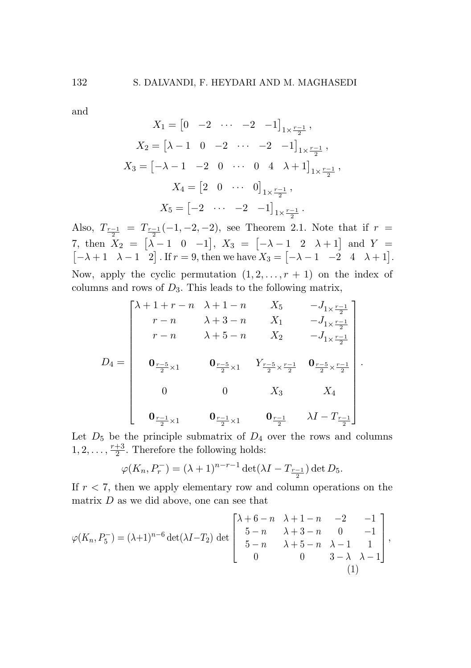and and and

$$
X_1 = \begin{bmatrix} 0 & -2 & \cdots & -2 & -1 \end{bmatrix}_{1 \times \frac{r-1}{2}},
$$
  
\n
$$
X_2 = \begin{bmatrix} \lambda - 1 & 0 & -2 & \cdots & -2 & -1 \end{bmatrix}_{1 \times \frac{r-1}{2}},
$$
  
\n
$$
X_3 = \begin{bmatrix} -\lambda - 1 & -2 & 0 & \cdots & 0 & 4 & \lambda + 1 \end{bmatrix}_{1 \times \frac{r-1}{2}},
$$
  
\n
$$
X_4 = \begin{bmatrix} 2 & 0 & \cdots & 0 \end{bmatrix}_{1 \times \frac{r-1}{2}},
$$
  
\n
$$
X_5 = \begin{bmatrix} -2 & \cdots & -2 & -1 \end{bmatrix}_{1 \times \frac{r-1}{2}}.
$$

Also,  $T_{\frac{r-1}{2}} = T_{\frac{r-1}{2}}(-1, -2, -2)$ , see Theorem 2.1. Note that if  $r =$ 7, then  $X_2 = [\lambda - 1 \ 0 \ -1], X_3 = [-\lambda - 1 \ 2 \ \lambda + 1]$  and  $Y = [-\lambda + 1 \ \lambda - 1 \ 2]$ . If  $r = 9$ , then we have  $X_3 = [-\lambda - 1 \ -2 \ 4 \ \lambda + 1].$ Now, apply the cyclic permutation  $(1, 2, \ldots, r + 1)$  on the index of columns and rows of *D*3*.* This leads to the following matrix, columns and rows of *D*3*.* This leads to the following matrix, columns and rows of *D*3*.* This leads to the following matrix, Also,  $T_{\frac{r-1}{2}} = T_{\frac{r-1}{2}}(-1, -2, -2)$ , see Theorem 2.1. Note that 7, then  $X_2 = [\lambda - 1 \ 0 \ -1]$ ,  $X_3 = [-\lambda - 1 \ 2 \ \lambda + 1]$  and  $[-\lambda + 1 \ \lambda - 1 \ 2]$ . If  $r = 9$ , then we have  $X_3 = [-\lambda - 1 \ -2 \ 4 \ \lambda]$ Also,  $T_{\frac{r-1}{2}} = T_{\frac{r-1}{2}}(-1, -2, -2)$ , see Theorem 2.1. Note that if *r* 7, then  $X_2 = [\lambda - 1 \ 0 \ -1], X_3 = [-\lambda - 1 \ 2 \ \lambda + 1]$  and  $Y = [-\lambda + 1 \ \lambda - 1 \ 2]$ . If  $r = 9$ , then we have  $X_3 = [-\lambda - 1 \ -2 \ 4 \ \lambda + 1].$ 

$$
D_4 = \begin{bmatrix} \lambda + 1 + r - n & \lambda + 1 - n & X_5 & -J_{1 \times \frac{r-1}{2}} \\ r - n & \lambda + 3 - n & X_1 & -J_{1 \times \frac{r-1}{2}} \\ r - n & \lambda + 5 - n & X_2 & -J_{1 \times \frac{r-1}{2}} \end{bmatrix}
$$
  
\n
$$
D_4 = \begin{bmatrix} 0 & \lambda + 3 - n & X_1 & -J_{1 \times \frac{r-1}{2}} \\ 0 & \lambda + 5 - n & X_2 & -J_{1 \times \frac{r-1}{2}} \\ 0 & \lambda + 5 - n & X_3 & X_4 \\ 0 & 0 & X_3 & X_4 \\ 0 & 0 & 0 & X_3 & X_4 \\ 0 & \frac{r-1}{2} \times 1 & 0 & \frac{r-1}{2} & \lambda I - T_{\frac{r-1}{2}} \end{bmatrix}
$$

*.*

Let  $D_5$  be the principle submatrix of  $D_4$  over the rows and columns  $1, 2, \ldots, \frac{r+3}{2}$ . Therefore the following holds:

$$
\varphi(K_n, P_r^-) = (\lambda + 1)^{n-r-1} \det(\lambda I - T_{\frac{r-1}{2}}) \det D_5.
$$

If *r <* 7, then we apply elementary row and column operations on the If*r <* 7, then we apply elementary row and column operations on the If *r <* 7, then we apply elementary row and column operations on the matrix *D* as we did above, one can see that matrix *D* as we did above, one can see that matrix*D*as we did above, one can see that

$$
\varphi(K_n, P_5^-) = (\lambda + 1)^{n-6} \det(\lambda I - T_2) \det \begin{bmatrix} \lambda + 6 - n & \lambda + 1 - n & -2 & -1 \\ 5 - n & \lambda + 3 - n & 0 & -1 \\ 5 - n & \lambda + 5 - n & \lambda - 1 & 1 \\ 0 & 0 & 3 - \lambda & \lambda - 1 \end{bmatrix},
$$
\n(1)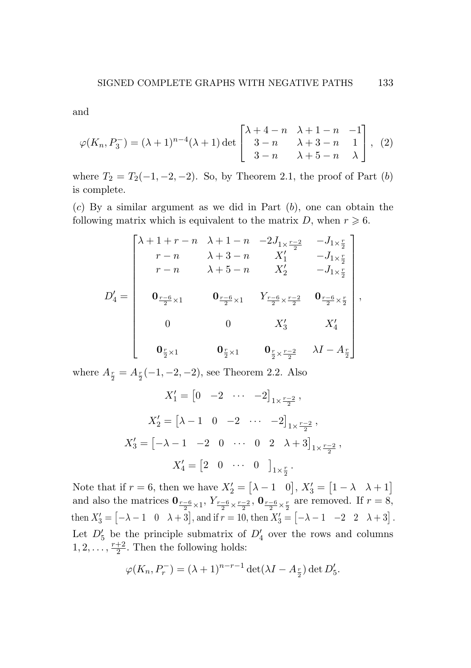and and

$$
\varphi(K_n, P_3^-) = (\lambda + 1)^{n-4}(\lambda + 1) \det \begin{bmatrix} \lambda + 4 - n & \lambda + 1 - n & -1 \\ 3 - n & \lambda + 3 - n & 1 \\ 3 - n & \lambda + 5 - n & \lambda \end{bmatrix}, (2)
$$

where  $T_2 = T_2(-1, -2, -2)$ . So, by Theorem 2.1, the proof of Part (b) is complete. is complete.

(*c*) By a similar argument as we did in Part (*b*), one can obtain the (*c*) By a similar argument as we did in Part (*b*), one can obtain the following matrix which is equivalent to the matrix *D*, when  $r \geq 6$ .

$$
D_4' = \begin{bmatrix} \lambda + 1 + r - n & \lambda + 1 - n & -2J_{1 \times \frac{r-2}{2}} & -J_{1 \times \frac{r}{2}} \\ r - n & \lambda + 3 - n & X_1' & -J_{1 \times \frac{r}{2}} \\ r - n & \lambda + 5 - n & X_2' & -J_{1 \times \frac{r}{2}} \\ 0_{\frac{r-6}{2} \times 1} & 0_{\frac{r-6}{2} \times 1} & Y_{\frac{r-6}{2} \times \frac{r-2}{2}} & 0_{\frac{r-6}{2} \times \frac{r}{2}} \\ 0 & 0 & X_3' & X_4' \\ 0_{\frac{r}{2} \times 1} & 0_{\frac{r}{2} \times 1} & 0_{\frac{r}{2} \times \frac{r-2}{2}} & \lambda I - A_{\frac{r}{2}} \end{bmatrix},
$$

where  $A_{\frac{r}{2}} = A_{\frac{r}{2}}(-1, -2, -2)$ , see Theorem 2.2. Also

$$
X'_1 = \begin{bmatrix} 0 & -2 & \cdots & -2 \end{bmatrix}_{1 \times \frac{r-2}{2}},
$$
  
\n
$$
X'_2 = \begin{bmatrix} \lambda - 1 & 0 & -2 & \cdots & -2 \end{bmatrix}_{1 \times \frac{r-2}{2}},
$$
  
\n
$$
X'_3 = \begin{bmatrix} -\lambda - 1 & -2 & 0 & \cdots & 0 & 2 & \lambda + 3 \end{bmatrix}_{1 \times \frac{r-2}{2}},
$$
  
\n
$$
X'_4 = \begin{bmatrix} 2 & 0 & \cdots & 0 & \end{bmatrix}_{1 \times \frac{r}{2}}.
$$

Note that if  $r = 6$ , then we have  $X'_2 = \begin{bmatrix} \lambda - 1 & 0 \end{bmatrix}$ ,  $X'_3 = \begin{bmatrix} 1 - \lambda & \lambda + 1 \end{bmatrix}$ and also the matrices  $\mathbf{0}_{\frac{r-6}{2} \times 1}$ ,  $Y_{\frac{r-6}{2} \times \frac{r-2}{2}}$ ,  $\mathbf{0}_{\frac{r-6}{2} \times \frac{r}{2}}$  are removed. If  $r = 8$ , then  $X'_3 = [-\lambda - 1 \quad 0 \quad \lambda + 3]$ , and if  $r = 10$ , then  $X'_3 = [-\lambda - 1 \quad -2 \quad 2 \quad \lambda + 3]$ . Let  $D_5'$  be the principle submatrix of  $D_4'$  over the rows and columns 1, 2,  $\dots$ ,  $\frac{r+2}{2}$ . Then the following holds:

$$
\varphi(K_n, P_r^-) = (\lambda + 1)^{n-r-1} \det(\lambda I - A_{\frac{r}{2}}) \det D'_5.
$$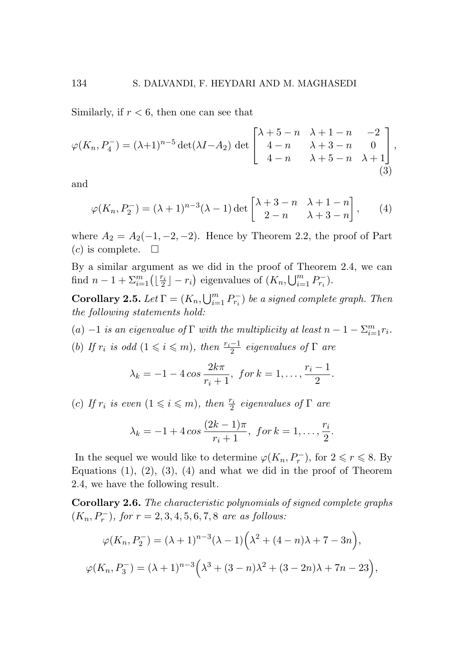Similarly, if *r <* 6, then one can see that

$$
\varphi(K_n, P_4^-) = (\lambda + 1)^{n-5} \det(\lambda I - A_2) \det \begin{bmatrix} \lambda + 5 - n & \lambda + 1 - n & -2 \\ 4 - n & \lambda + 3 - n & 0 \\ 4 - n & \lambda + 5 - n & \lambda + 1 \end{bmatrix},
$$
\n(3)

and

$$
\varphi(K_n, P_2^-) = (\lambda + 1)^{n-3} (\lambda - 1) \det \begin{bmatrix} \lambda + 3 - n & \lambda + 1 - n \\ 2 - n & \lambda + 3 - n \end{bmatrix}, \quad (4)
$$

where  $A_2 = A_2(-1, -2, -2)$ . Hence by Theorem 2.2, the proof of Part  $(c)$  is complete.  $\square$ 

By a similar argument as we did in the proof of Theorem 2.4, we can find  $n-1+\sum_{i=1}^{m}(\lfloor \frac{r_i}{2} \rfloor - r_i)$  eigenvalues of  $(K_n, \bigcup_{i=1}^{m} P_{r_i}^{-})$ .

**Corollary 2.5.** *Let*  $\Gamma = (K_n, \bigcup_{i=1}^m P_{r_i}^-)$  *be a signed complete graph. Then the following statements hold:*

 $(a)$  −1 *is an eigenvalue of*  $\Gamma$  *with the multiplicity at least*  $n - 1 - \sum_{i=1}^{m} r_i$ *.* 

(*b*) *If*  $r_i$  *is odd*  $(1 \leq i \leq m)$ *, then*  $\frac{r_i - 1}{2}$  *eigenvalues of*  $\Gamma$  *are* 

$$
\lambda_k = -1 - 4 \cos \frac{2k\pi}{r_i + 1}, \text{ for } k = 1, \dots, \frac{r_i - 1}{2}.
$$

(*c*) *If*  $r_i$  *is even*  $(1 \leq i \leq m)$ *, then*  $\frac{r_i}{2}$  *eigenvalues of*  $\Gamma$  *are* 

$$
\lambda_k = -1 + 4 \cos \frac{(2k-1)\pi}{r_i+1}, \text{ for } k = 1, \ldots, \frac{r_i}{2}.
$$

In the sequel we would like to determine  $\varphi(K_n, P_r^-)$ , for  $2 \le r \le 8$ . By Equations  $(1)$ ,  $(2)$ ,  $(3)$ ,  $(4)$  and what we did in the proof of Theorem 2.4, we have the following result.

Corollary 2.6. *The characteristic polynomials of signed complete graphs*  $(K_n, P_r^-)$ , for  $r = 2, 3, 4, 5, 6, 7, 8$  are as follows:

$$
\varphi(K_n, P_2^-) = (\lambda + 1)^{n-3} (\lambda - 1) (\lambda^2 + (4 - n)\lambda + 7 - 3n),
$$
  

$$
\varphi(K_n, P_3^-) = (\lambda + 1)^{n-3} (\lambda^3 + (3 - n)\lambda^2 + (3 - 2n)\lambda + 7n - 23),
$$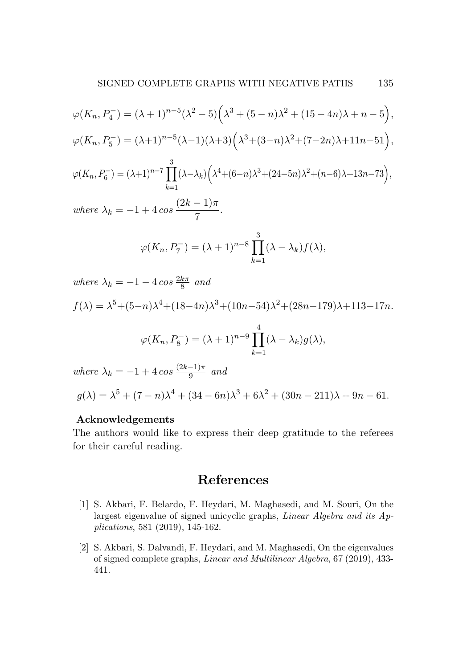$$
\varphi(K_n, P_4^-) = (\lambda + 1)^{n-5} (\lambda^2 - 5) \left( \lambda^3 + (5 - n)\lambda^2 + (15 - 4n)\lambda + n - 5 \right),
$$
  

$$
\varphi(K_n, P_5^-) = (\lambda + 1)^{n-5} (\lambda - 1) (\lambda + 3) \left( \lambda^3 + (3 - n)\lambda^2 + (7 - 2n)\lambda + 11n - 51 \right),
$$
  

$$
\varphi(K_n, P_6^-) = (\lambda + 1)^{n-7} \prod_{k=1}^3 (\lambda - \lambda_k) \left( \lambda^4 + (6 - n)\lambda^3 + (24 - 5n)\lambda^2 + (n - 6)\lambda + 13n - 73 \right),
$$

 $where \lambda_k = -1 + 4 \cos \frac{(2k-1)\pi}{7}.$ 

$$
\varphi(K_n, P_7^-) = (\lambda + 1)^{n-8} \prod_{k=1}^3 (\lambda - \lambda_k) f(\lambda),
$$

 $where \lambda_k = -1 - 4 \cos \frac{2k\pi}{8}$  *and* 

$$
f(\lambda) = \lambda^5 + (5-n)\lambda^4 + (18-4n)\lambda^3 + (10n-54)\lambda^2 + (28n-179)\lambda + 113-17n.
$$
  

$$
\varphi(K_n, P_8^-) = (\lambda + 1)^{n-9} \prod_{k=1}^4 (\lambda - \lambda_k) g(\lambda),
$$

 $where \lambda_k = -1 + 4 \cos \frac{(2k-1)\pi}{9}$  *and* 

$$
g(\lambda) = \lambda^5 + (7 - n)\lambda^4 + (34 - 6n)\lambda^3 + 6\lambda^2 + (30n - 211)\lambda + 9n - 61.
$$

### Acknowledgements Acknowledgements

The authors would like to express their deep gratitude to the referees The authors would like to express their deep gratitude to the referees for their careful reading. for their careful reading.

# References References

- [1] S. Akbari, F. Belardo, F. Heydari, M. Maghasedi, and M. Souri, On the [1] S. Akbari, F. Belardo, F. Heydari, M. Maghasedi, and M. Souri, On the largest eigenvalue of signed unicyclic graphs, *Linear Algebra and its Ap-*largest eigenvalue of signed unicyclic graphs, *Linear Algebra and its Applications*, 581 (2019), 145-162. *plications*, 581 (2019), 145-162.
- [2] S. Akbari, S. Dalvandi, F. Heydari, and M. Maghasedi, On the eigenvalues [2] S. Akbari, S. Dalvandi, F. Heydari, and M. Maghasedi, On the eigenvalues of signed complete graphs, *Linear and Multilinear Algebra*, 67 (2019), 433- of signed complete graphs, *Linear and Multilinear Algebra*, 67 (2019), 433- 441. 441.